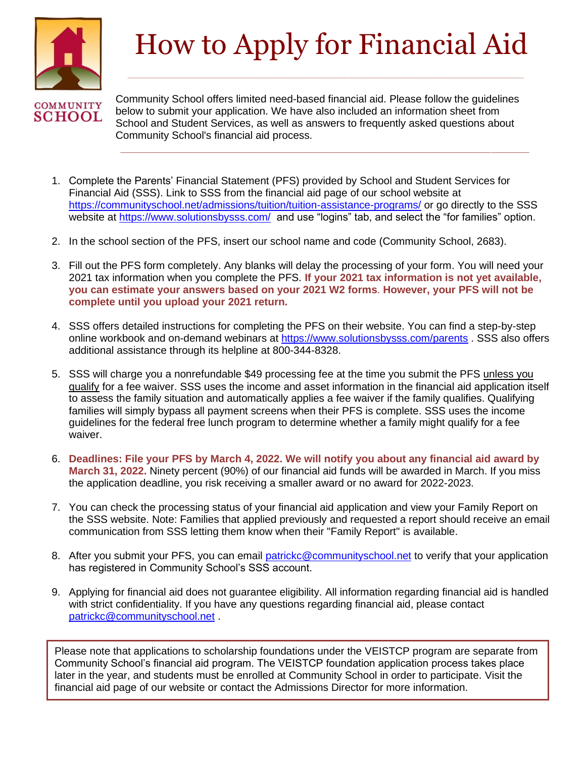

# How to Apply for Financial Aid

Community School offers limited need-based financial aid. Please follow the guidelines below to submit your application. We have also included an information sheet from School and Student Services, as well as answers to frequently asked questions about Community School's financial aid process.

**\_\_\_\_\_\_\_\_\_\_\_\_\_\_\_\_\_\_\_\_\_\_\_\_\_\_\_\_\_\_\_\_\_\_\_\_\_\_\_\_\_\_\_\_\_\_\_\_\_\_\_\_\_\_\_\_\_\_\_\_\_\_\_\_**

- 1. Complete the Parents' Financial Statement (PFS) provided by School and Student Services for Financial Aid (SSS). Link to SSS from the financial aid page of our school website at <https://communityschool.net/admissions/tuition/tuition-assistance-programs/> or go directly to the SSS website at<https://www.solutionsbysss.com/> and use "logins" tab, and select the "for families" option.
- 2. In the school section of the PFS, insert our school name and code (Community School, 2683).
- 3. Fill out the PFS form completely. Any blanks will delay the processing of your form. You will need your 2021 tax information when you complete the PFS. **If your 2021 tax information is not yet available, you can estimate your answers based on your 2021 W2 forms**. **However, your PFS will not be complete until you upload your 2021 return.**
- 4. SSS offers detailed instructions for completing the PFS on their website. You can find a step-by-step online workbook and on-demand webinars at<https://www.solutionsbysss.com/parents> . SSS also offers additional assistance through its helpline at 800-344-8328.
- 5. SSS will charge you a nonrefundable \$49 processing fee at the time you submit the PFS unless you qualify for a fee waiver. SSS uses the income and asset information in the financial aid application itself to assess the family situation and automatically applies a fee waiver if the family qualifies. Qualifying families will simply bypass all payment screens when their PFS is complete. SSS uses the income guidelines for the federal free lunch program to determine whether a family might qualify for a fee waiver.
- 6. **Deadlines: File your PFS by March 4, 2022. We will notify you about any financial aid award by March 31, 2022.** Ninety percent (90%) of our financial aid funds will be awarded in March. If you miss the application deadline, you risk receiving a smaller award or no award for 2022-2023.
- 7. You can check the processing status of your financial aid application and view your Family Report on the SSS website. Note: Families that applied previously and requested a report should receive an email communication from SSS letting them know when their "Family Report" is available.
- 8. After you submit your PFS, you can email [patrickc@communityschool.net](mailto:patrickc@communityschool.net) to verify that your application has registered in Community School's SSS account.
- 9. Applying for financial aid does not guarantee eligibility. All information regarding financial aid is handled with strict confidentiality. If you have any questions regarding financial aid, please contact [patrickc@communityschool.net](mailto:patrickc@communityschool.net) .

Please note that applications to scholarship foundations under the VEISTCP program are separate from Community School's financial aid program. The VEISTCP foundation application process takes place later in the year, and students must be enrolled at Community School in order to participate. Visit the financial aid page of our website or contact the Admissions Director for more information.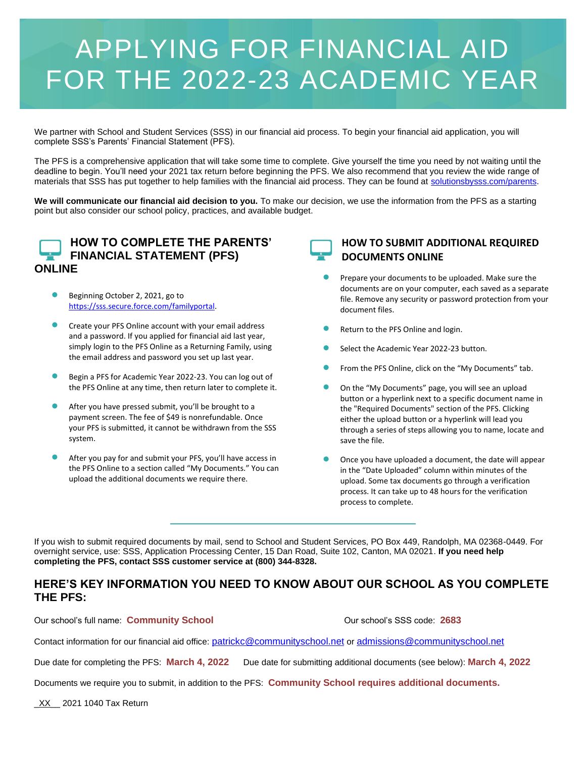### APPLYING FOR FINANCIAL AID FOR THE 2022-23 ACADEMIC YEAR

We partner with School and Student Services (SSS) in our financial aid process. To begin your financial aid application, you will complete SSS's Parents' Financial Statement (PFS).

The PFS is a comprehensive application that will take some time to complete. Give yourself the time you need by not waiting until the deadline to begin. You'll need your 2021 tax return before beginning the PFS. We also recommend that you review the wide range of materials that SSS has put together to help families with the financial aid process. They can be found at [solutionsbysss.com/parents.](http://solutionsbysss.com/parents)

**We will communicate our financial aid decision to you.** To make our decision, we use the information from the PFS as a starting point but also consider our school policy, practices, and available budget.



#### **HOW TO COMPLETE THE PARENTS' FINANCIAL STATEMENT (PFS) ONLINE**

- Beginning October 2, 2021, go to [https://sss.secure.force.com/familyportal.](https://sss.secure.force.com/familyportal)
- Create your PFS Online account with your email address and a password. If you applied for financial aid last year, simply login to the PFS Online as a Returning Family, using the email address and password you set up last year.
- Begin a PFS for Academic Year 2022-23. You can log out of the PFS Online at any time, then return later to complete it.
- After you have pressed submit, you'll be brought to a payment screen. The fee of \$49 is nonrefundable. Once your PFS is submitted, it cannot be withdrawn from the SSS system.
- After you pay for and submit your PFS, you'll have access in the PFS Online to a section called "My Documents." You can upload the additional documents we require there.

**HOW TO SUBMIT ADDITIONAL REQUIRED DOCUMENTS ONLINE**

- Prepare your documents to be uploaded. Make sure the documents are on your computer, each saved as a separate file. Remove any security or password protection from your document files.
- Return to the PFS Online and login.
- Select the Academic Year 2022-23 button.
- **•** From the PFS Online, click on the "My Documents" tab.
- **•** On the "My Documents" page, you will see an upload button or a hyperlink next to a specific document name in the "Required Documents" section of the PFS. Clicking either the upload button or a hyperlink will lead you through a series of steps allowing you to name, locate and save the file.
- Once you have uploaded a document, the date will appear in the "Date Uploaded" column within minutes of the upload. Some tax documents go through a verification process. It can take up to 48 hours for the verification process to complete.

If you wish to submit required documents by mail, send to School and Student Services, PO Box 449, Randolph, MA 02368-0449. For overnight service, use: SSS, Application Processing Center, 15 Dan Road, Suite 102, Canton, MA 02021. **If you need help completing the PFS, contact SSS customer service at (800) 344-8328.**

#### **HERE'S KEY INFORMATION YOU NEED TO KNOW ABOUT OUR SCHOOL AS YOU COMPLETE THE PFS:**

Our school's full name: **Community School** Our school's SSS code: **2683**

Contact information for our financial aid office: [patrickc@communityschool.net](mailto:patrickc@communityschool.net) or [admissions@communityschool.net](mailto:admissions@communityschool.net)

Due date for completing the PFS: **March 4, 2022** Due date for submitting additional documents (see below): **March 4, 2022**

Documents we require you to submit, in addition to the PFS: **Community School requires additional documents.**

\_XX\_\_ 2021 1040 Tax Return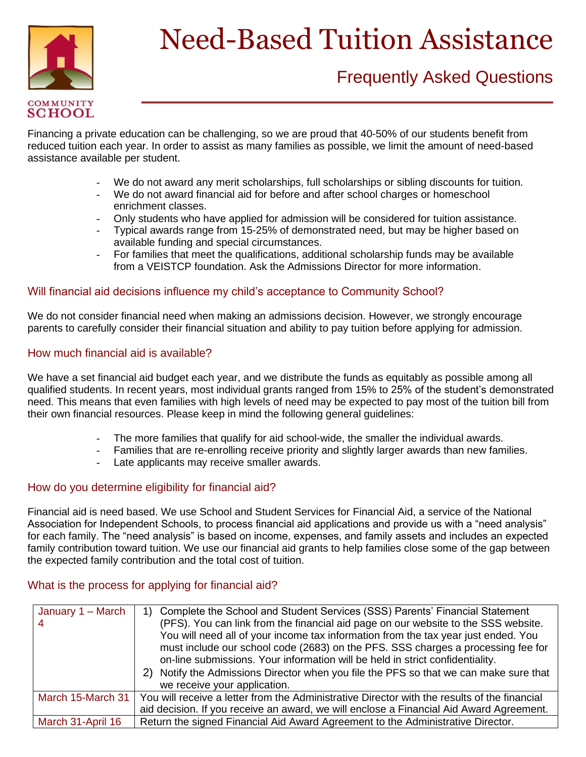

## Need-Based Tuition Assistance

# **\_\_\_\_\_\_\_\_\_\_\_\_\_\_\_\_\_** Frequently Asked Questions

SCHOOL<br>Financing a private education can be challenging, so we are proud that 40-50% of our students benefit from<br>makes of hilling angle was also entertained and the many families are assisted we limit the conservator and reduced tuition each year. In order to assist as many families as possible, we limit the amount of need-based assistance available per student.

- We do not award any merit scholarships, full scholarships or sibling discounts for tuition.
- We do not award financial aid for before and after school charges or homeschool enrichment classes.
- Only students who have applied for admission will be considered for tuition assistance.
- Typical awards range from 15-25% of demonstrated need, but may be higher based on available funding and special circumstances.
- For families that meet the qualifications, additional scholarship funds may be available from a VEISTCP foundation. Ask the Admissions Director for more information.

#### Will financial aid decisions influence my child's acceptance to Community School?

We do not consider financial need when making an admissions decision. However, we strongly encourage parents to carefully consider their financial situation and ability to pay tuition before applying for admission.

#### How much financial aid is available?

We have a set financial aid budget each year, and we distribute the funds as equitably as possible among all qualified students. In recent years, most individual grants ranged from 15% to 25% of the student's demonstrated need. This means that even families with high levels of need may be expected to pay most of the tuition bill from their own financial resources. Please keep in mind the following general guidelines:

- The more families that qualify for aid school-wide, the smaller the individual awards.
- Families that are re-enrolling receive priority and slightly larger awards than new families.
- Late applicants may receive smaller awards.

#### How do you determine eligibility for financial aid?

Financial aid is need based. We use School and Student Services for Financial Aid, a service of the National Association for Independent Schools, to process financial aid applications and provide us with a "need analysis" for each family. The "need analysis" is based on income, expenses, and family assets and includes an expected family contribution toward tuition. We use our financial aid grants to help families close some of the gap between the expected family contribution and the total cost of tuition.

#### What is the process for applying for financial aid?

| January 1 – March | Complete the School and Student Services (SSS) Parents' Financial Statement<br>(PFS). You can link from the financial aid page on our website to the SSS website.<br>You will need all of your income tax information from the tax year just ended. You<br>must include our school code (2683) on the PFS. SSS charges a processing fee for<br>on-line submissions. Your information will be held in strict confidentiality.<br>Notify the Admissions Director when you file the PFS so that we can make sure that<br>2)<br>we receive your application. |
|-------------------|----------------------------------------------------------------------------------------------------------------------------------------------------------------------------------------------------------------------------------------------------------------------------------------------------------------------------------------------------------------------------------------------------------------------------------------------------------------------------------------------------------------------------------------------------------|
| March 15-March 31 | You will receive a letter from the Administrative Director with the results of the financial<br>aid decision. If you receive an award, we will enclose a Financial Aid Award Agreement.                                                                                                                                                                                                                                                                                                                                                                  |
| March 31-April 16 | Return the signed Financial Aid Award Agreement to the Administrative Director.                                                                                                                                                                                                                                                                                                                                                                                                                                                                          |